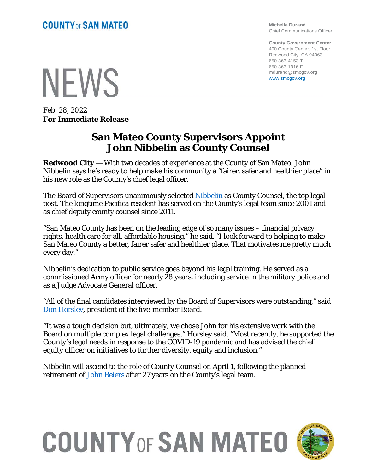# **NEWS**

Feb. 28, 2022 **For Immediate Release**

#### **San Mateo County Supervisors Appoint John Nibbelin as County Counsel**

**Redwood City** — With two decades of experience at the County of San Mateo, John Nibbelin says he's ready to help make his community a "fairer, safer and healthier place" in his new role as the County's chief legal officer.

The Board of Supervisors unanimously selected [Nibbelin](https://countycounsel.smcgov.org/profiles/john-d-nibbelin) as County Counsel, the top legal post. The longtime Pacifica resident has served on the County's legal team since 2001 and as chief deputy county counsel since 2011.

"San Mateo County has been on the leading edge of so many issues – financial privacy rights, health care for all, affordable housing," he said. "I look forward to helping to make San Mateo County a better, fairer safer and healthier place. That motivates me pretty much every day."

Nibbelin's dedication to public service goes beyond his legal training. He served as a commissioned Army officer for nearly 28 years, including service in the military police and as a Judge Advocate General officer.

"All of the final candidates interviewed by the Board of Supervisors were outstanding," said [Don Horsley,](https://bos.smcgov.org/district-3-don-horsley) president of the five-member Board.

"It was a tough decision but, ultimately, we chose John for his extensive work with the Board on multiple complex legal challenges," Horsley said. "Most recently, he supported the County's legal needs in response to the COVID-19 pandemic and has advised the chief equity officer on initiatives to further diversity, equity and inclusion."

Nibbelin will ascend to the role of County Counsel on April 1, following the planned retirement of [John Beiers](https://countycounsel.smcgov.org/profiles/john-c-beiers) after 27 years on the County's legal team.

# **COUNTY OF SAN MATEO**



**Michelle Durand** Chief Communications Officer

**County Government Center** 400 County Center, 1st Floor Redwood City, CA 94063 650-363-4153 T 650-363-1916 F mdurand@smcgov.org www.smcgov.org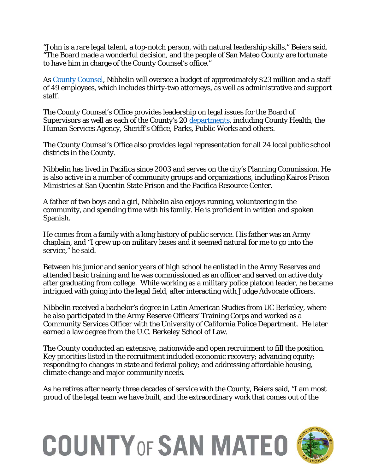"John is a rare legal talent, a top-notch person, with natural leadership skills," Beiers said. "The Board made a wonderful decision, and the people of San Mateo County are fortunate to have him in charge of the County Counsel's office."

As [County Counsel,](https://countycounsel.smcgov.org/) Nibbelin will oversee a budget of approximately \$23 million and a staff of 49 employees, which includes thirty-two attorneys, as well as administrative and support staff.

The County Counsel's Office provides leadership on legal issues for the Board of Supervisors as well as each of the County's 20 [departments,](https://www.smcgov.org/departments) including County Health, the Human Services Agency, Sheriff's Office, Parks, Public Works and others.

The County Counsel's Office also provides legal representation for all 24 local public school districts in the County.

Nibbelin has lived in Pacifica since 2003 and serves on the city's Planning Commission. He is also active in a number of community groups and organizations, including Kairos Prison Ministries at San Quentin State Prison and the Pacifica Resource Center.

A father of two boys and a girl, Nibbelin also enjoys running, volunteering in the community, and spending time with his family. He is proficient in written and spoken Spanish.

He comes from a family with a long history of public service. His father was an Army chaplain, and "I grew up on military bases and it seemed natural for me to go into the service," he said.

Between his junior and senior years of high school he enlisted in the Army Reserves and attended basic training and he was commissioned as an officer and served on active duty after graduating from college. While working as a military police platoon leader, he became intrigued with going into the legal field, after interacting with Judge Advocate officers.

Nibbelin received a bachelor's degree in Latin American Studies from UC Berkeley, where he also participated in the Army Reserve Officers' Training Corps and worked as a Community Services Officer with the University of California Police Department. He later earned a law degree from the U.C. Berkeley School of Law.

The County conducted an extensive, nationwide and open recruitment to fill the position. Key priorities listed in the recruitment included economic recovery; advancing equity; responding to changes in state and federal policy; and addressing affordable housing, climate change and major community needs.

As he retires after nearly three decades of service with the County, Beiers said, "I am most proud of the legal team we have built, and the extraordinary work that comes out of the

## **COUNTY OF SAN MATEO**